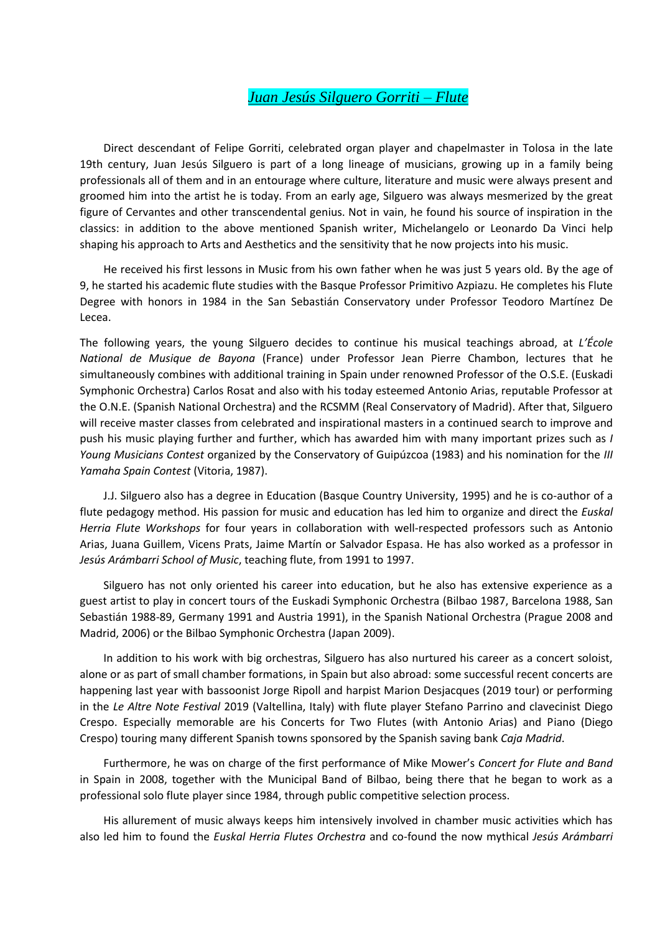## *Juan Jesús Silguero Gorriti – Flute*

Direct descendant of Felipe Gorriti, celebrated organ player and chapelmaster in Tolosa in the late 19th century, Juan Jesús Silguero is part of a long lineage of musicians, growing up in a family being professionals all of them and in an entourage where culture, literature and music were always present and groomed him into the artist he is today. From an early age, Silguero was always mesmerized by the great figure of Cervantes and other transcendental genius. Not in vain, he found his source of inspiration in the classics: in addition to the above mentioned Spanish writer, Michelangelo or Leonardo Da Vinci help shaping his approach to Arts and Aesthetics and the sensitivity that he now projects into his music.

He received his first lessons in Music from his own father when he was just 5 years old. By the age of 9, he started his academic flute studies with the Basque Professor Primitivo Azpiazu. He completes his Flute Degree with honors in 1984 in the San Sebastián Conservatory under Professor Teodoro Martínez De Lecea.

The following years, the young Silguero decides to continue his musical teachings abroad, at *L'École National de Musique de Bayona* (France) under Professor Jean Pierre Chambon, lectures that he simultaneously combines with additional training in Spain under renowned Professor of the O.S.E. (Euskadi Symphonic Orchestra) Carlos Rosat and also with his today esteemed Antonio Arias, reputable Professor at the O.N.E. (Spanish National Orchestra) and the RCSMM (Real Conservatory of Madrid). After that, Silguero will receive master classes from celebrated and inspirational masters in a continued search to improve and push his music playing further and further, which has awarded him with many important prizes such as *I Young Musicians Contest* organized by the Conservatory of Guipúzcoa (1983) and his nomination for the *III Yamaha Spain Contest* (Vitoria, 1987).

J.J. Silguero also has a degree in Education (Basque Country University, 1995) and he is co-author of a flute pedagogy method. His passion for music and education has led him to organize and direct the *Euskal Herria Flute Workshops* for four years in collaboration with well-respected professors such as Antonio Arias, Juana Guillem, Vicens Prats, Jaime Martín or Salvador Espasa. He has also worked as a professor in *Jesús Arámbarri School of Music*, teaching flute, from 1991 to 1997.

Silguero has not only oriented his career into education, but he also has extensive experience as a guest artist to play in concert tours of the Euskadi Symphonic Orchestra (Bilbao 1987, Barcelona 1988, San Sebastián 1988-89, Germany 1991 and Austria 1991), in the Spanish National Orchestra (Prague 2008 and Madrid, 2006) or the Bilbao Symphonic Orchestra (Japan 2009).

In addition to his work with big orchestras, Silguero has also nurtured his career as a concert soloist, alone or as part of small chamber formations, in Spain but also abroad: some successful recent concerts are happening last year with bassoonist Jorge Ripoll and harpist Marion Desjacques (2019 tour) or performing in the *Le Altre Note Festival* 2019 (Valtellina, Italy) with flute player Stefano Parrino and clavecinist Diego Crespo. Especially memorable are his Concerts for Two Flutes (with Antonio Arias) and Piano (Diego Crespo) touring many different Spanish towns sponsored by the Spanish saving bank *Caja Madrid*.

Furthermore, he was on charge of the first performance of Mike Mower's *Concert for Flute and Band* in Spain in 2008, together with the Municipal Band of Bilbao, being there that he began to work as a professional solo flute player since 1984, through public competitive selection process.

His allurement of music always keeps him intensively involved in chamber music activities which has also led him to found the *Euskal Herria Flutes Orchestra* and co-found the now mythical *Jesús Arámbarri*